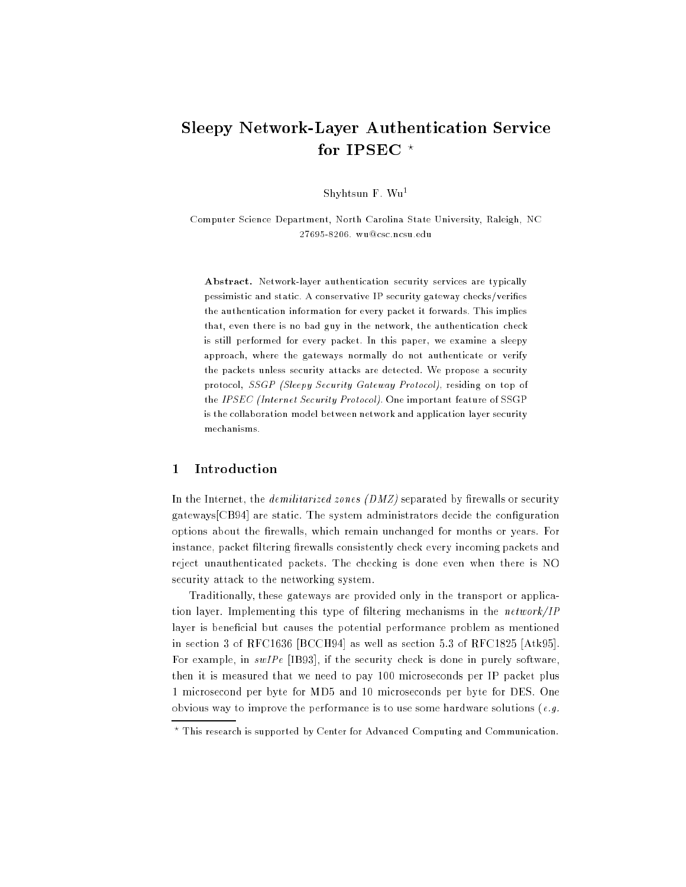# Sleepy Network-Layer Authentication Service for IPSEC  $*$

Shyhtsun F. Wu<sup>1</sup>

Computer Science Department, North Carolina State University, Raleigh, NC 27695-8206. wu@csc.ncsu.edu

Abstract. Network-layer authentication security services are typically pessimistic and static. A conservative IP security gateway checks/verifies the authentication information for every packet it forwards. This implies that, even there is no bad guy in the network, the authentication check is still performed for every packet. In this paper, we examine a sleepy approach, where the gateways normally do not authenticate or verify the packets unless security attacks are detected. We propose a security protocol, SSGP (Sleepy Security Gateway Protocol), residing on top of the IPSEC (Internet Security Protocol). One important feature of SSGP is the collaboration model between network and application layer security mechanisms.

# 1 Introduction

In the Internet, the *demilitarized zones*  $(DMZ)$  separated by firewalls or security gateways[CB94] are static. The system administrators decide the conguration options about the firewalls, which remain unchanged for months or years. For instance, packet filtering firewalls consistently check every incoming packets and reject unauthenticated packets. The checking is done even when there is NO security attack to the networking system.

Traditionally, these gateways are provided only in the transport or application layer. Implementing this type of filtering mechanisms in the *network/IP* layer is beneficial but causes the potential performance problem as mentioned in section 3 of RFC1636 [BCCH94] as well as section 5.3 of RFC1825 [Atk95]. For example, in  $\textit{swIPe}$  [IB93], if the security check is done in purely software, then it is measured that we need to pay 100 microseconds per IP packet plus 1 microsecond per byte for MD5 and 10 microseconds per byte for DES. One obvious way to improve the performance is to use some hardware solutions ( $e.g.$ 

 $^{\circ}$  This research is supported by Center for Advanced Computing and Communication.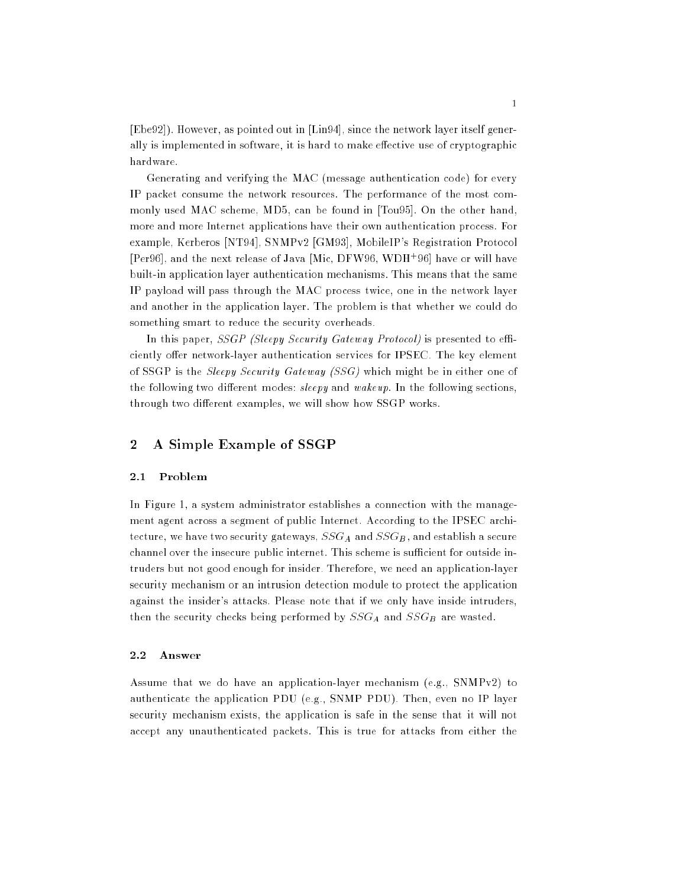[Ebe92]). However, as pointed out in [Lin94], since the network layer itself generally is implemented in software, it is hard to make effective use of cryptographic hardware.

Generating and verifying the MAC (message authentication code) for every IP packet consume the network resources. The performance of the most commonly used MAC scheme, MD5, can be found in [Tou95]. On the other hand, more and more Internet applications have their own authentication process. For example, Kerberos [NT94], SNMPv2 [GM93], MobileIP's Registration Protocol [Per96], and the next release of Java [Mic, DFW96, WDH<sup>+</sup> 96] have or will have built-in application layer authentication mechanisms. This means that the same IP payload will pass through the MAC process twice, one in the network layer and another in the application layer. The problem is that whether we could do something smart to reduce the security overheads.

In this paper,  $SSGP$  (Sleepy Security Gateway Protocol) is presented to efficiently offer network-layer authentication services for IPSEC. The key element of SSGP is the Sleepy Security Gateway (SSG) which might be in either one of the following two different modes:  $s$ leepy and wakeup. In the following sections, through two different examples, we will show how SSGP works.

# 2 A Simple Example of SSGP

#### 2.1 Problem

In Figure 1, a system administrator establishes a connection with the management agent across a segment of public Internet. According to the IPSEC architecture, we have two security gateways,  $SSG_A$  and  $SSG_B$ , and establish a secure channel over the insecure public internet. This scheme is sufficient for outside intruders but not good enough for insider. Therefore, we need an application-layer security mechanism or an intrusion detection module to protect the application against the insider's attacks. Please note that if we only have inside intruders, then the security checks being performed by  $SSG_A$  and  $SSG_B$  are wasted.

### 2.2 Answer

Assume that we do have an application-layer mechanism (e.g., SNMPv2) to authenticate the application PDU (e.g., SNMP PDU). Then, even no IP layer security mechanism exists, the application is safe in the sense that it will not accept any unauthenticated packets. This is true for attacks from either the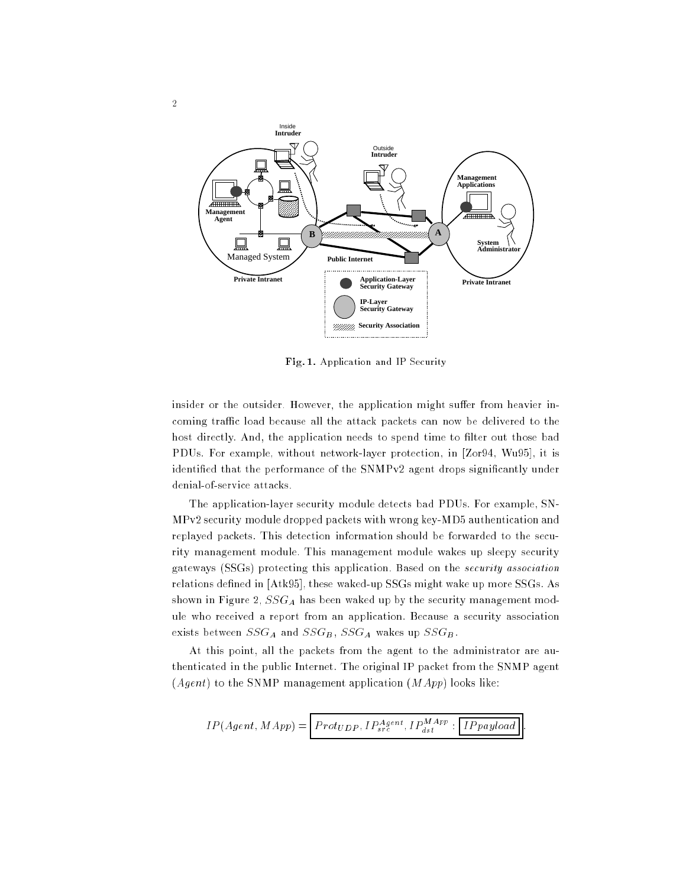

Fig. 1. Application and IP Security

insider or the outsider. However, the application might suffer from heavier incoming traffic load because all the attack packets can now be delivered to the host directly. And, the application needs to spend time to filter out those bad PDUs. For example, without network-layer protection, in [Zor94, Wu95], it is identified that the performance of the SNMPv2 agent drops significantly under denial-of-service attacks.

The application-layer security module detects bad PDUs. For example, SN-MPv2 security module dropped packets with wrong key-MD5 authentication and replayed packets. This detection information should be forwarded to the security management module. This management module wakes up sleepy security gateways (SSGs) protecting this application. Based on the security association relations defined in [Atk95], these waked-up SSGs might wake up more SSGs. As shown in Figure 2,  $SSG_A$  has been waked up by the security management module who received a report from an application. Because a security association exists between  $SSG_A$  and  $SSG_B$ ,  $SSG_A$  wakes up  $SSG_B$ .

At this point, all the packets from the agent to the administrator are authenticated in the public Internet. The original IP packet from the SNMP agent (Agent) to the SNMP management application  $(MApp)$  looks like:

$$
IP(Agent, MApp) = \boxed{Prot_{UDP}, IP_{src}^{Agent}, IP_{dst}^{MApp} : \boxed{IPpayload}}.
$$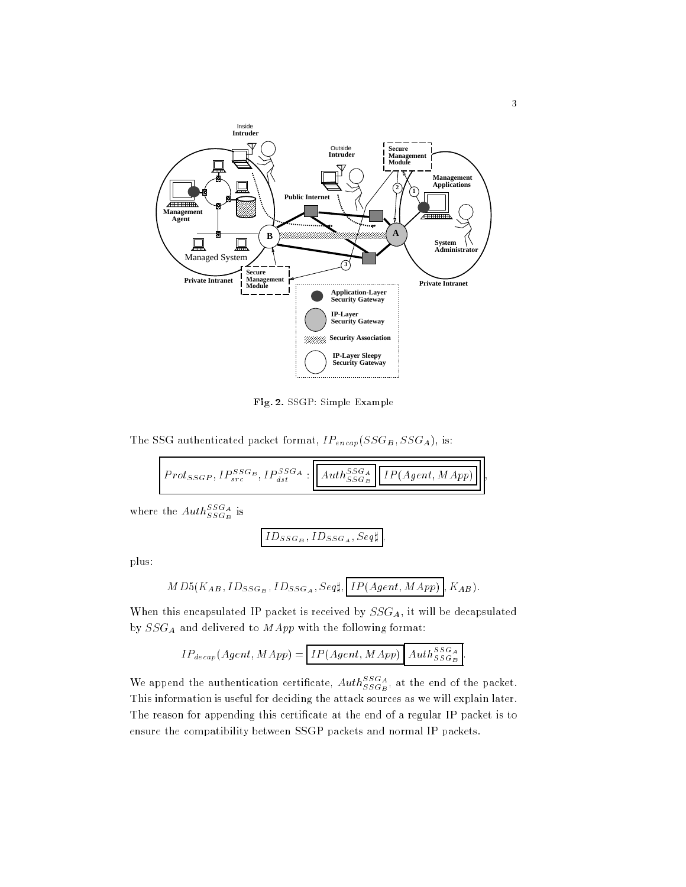

Fig. 2. SSGP: Simple Example

The SSG authenticated packet format,  $IP_{encap}(SSG_B,SSG_A)$ , is:

| $Prot_{SSGP}, IP_{src}^{SSG_B}, IP_{dst}^{SSG_A}: \left \right  \left. \text{Aut} h_{SSG_B}^{SSG_A} \right \left  \left[ \text{IP}(Agent, Map) \right] \right \right ,$ |  |
|-------------------------------------------------------------------------------------------------------------------------------------------------------------------------|--|
|                                                                                                                                                                         |  |

where the  $\mathit{Auth}_{SSG_B}^{S5G_A}$  is

$$
|ID_{SSG_B},ID_{SSG_A},Seq\rq{}|,
$$

plus:

$$
MD5(K_{AB}, ID_{SSG_B}, ID_{SSG_A}, Seq\sharp, \boxed{IP(Agent, M App)}, K_{AB}).
$$

When this encapsulated IP packet is received by  $SSG_A$ , it will be decapsulated by  $SSG_A$  and delivered to  $MAPp$  with the following format:

$$
IP_{decay}(Agent,MAPp) = \boxed{IP(Agent, Map)\n } \quad \boxed{Auth_{SSG_B}^{SSG_A}}.
$$

We append the authentication certificate,  $\textit{Auth}_{SSG_B}^{SSSA},$  at the end of the packet. This information is useful for deciding the attack sources as we will explain later. The reason for appending this certificate at the end of a regular IP packet is to ensure the compatibility between SSGP packets and normal IP packets.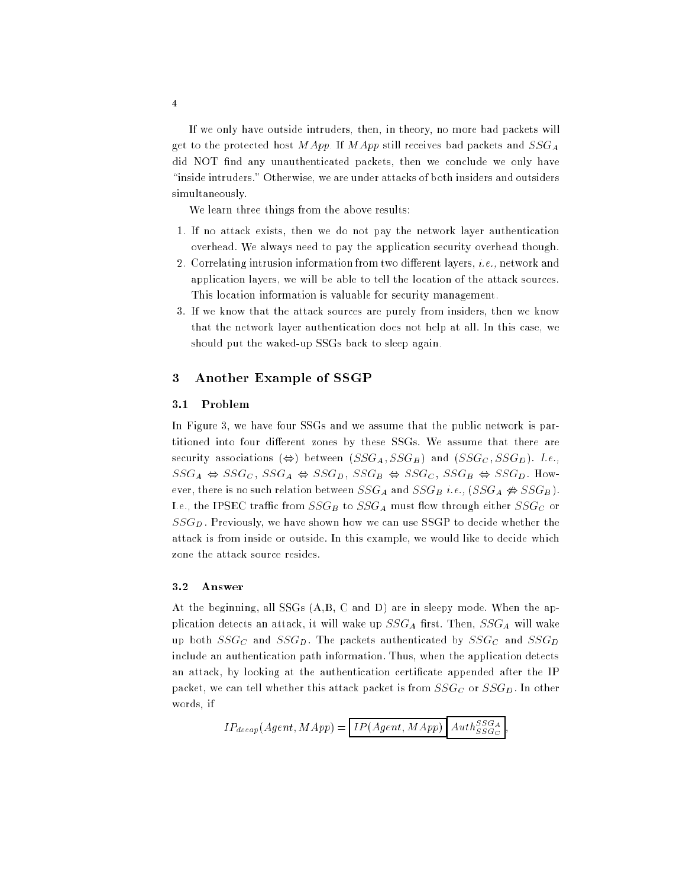If we only have outside intruders, then, in theory, no more bad packets will get to the protected host  $MApp$ . If  $MApp$  still receives bad packets and  $SSG_A$ did NOT find any unauthenticated packets, then we conclude we only have "inside intruders." Otherwise, we are under attacks of both insiders and outsiders simultaneously.

We learn three things from the above results:

- 1. If no attack exists, then we do not pay the network layer authentication overhead. We always need to pay the application security overhead though.
- 2. Correlating intrusion information from two different layers, *i.e.*, network and application layers, we will be able to tell the location of the attack sources. This location information is valuable for security management.
- 3. If we know that the attack sources are purely from insiders, then we know that the network layer authentication does not help at all. In this case, we should put the waked-up SSGs back to sleep again.

#### 3 Another Example of SSGP 3

#### 3.1 Problem

In Figure 3, we have four SSGs and we assume that the public network is partitioned into four different zones by these SSGs. We assume that there are security associations ( $\Leftrightarrow$ ) between  $(SSG_A, SSG_B)$  and  $(SSG_C, SSG_D)$ . I.e.,  $SSG_A \Leftrightarrow SSG_C$ ,  $SSG_A \Leftrightarrow SSG_D$ ,  $SSG_B \Leftrightarrow SSG_C$ ,  $SSG_B \Leftrightarrow SSG_D$ . However, there is no such relation between  $SSG_A$  and  $SSG_B$  i.e.,  $(SSG_A \ntriangleq SSG_B)$ . I.e., the IPSEC traffic from  $SSG_B$  to  $SSG_A$  must flow through either  $SSG_C$  or  $SSG_D$ . Previously, we have shown how we can use SSGP to decide whether the attack is from inside or outside. In this example, we would like to decide which zone the attack source resides.

#### 3.2 Answer

At the beginning, all SSGs (A,B, C and D) are in sleepy mode. When the application detects an attack, it will wake up  $SSG_A$  first. Then,  $SSG_A$  will wake up both  $SSG_C$  and  $SSG_D$ . The packets authenticated by  $SSG_C$  and  $SSG_D$ include an authentication path information. Thus, when the application detects an attack, by looking at the authentication certicate appended after the IP packet, we can tell whether this attack packet is from  $SSG_C$  or  $SSG_D$ . In other words, if

 $IP_{decay}(Agent, MApp) = | IP(Agent, MApp)|$  Auth $^{SSGA}_{SSG_C}$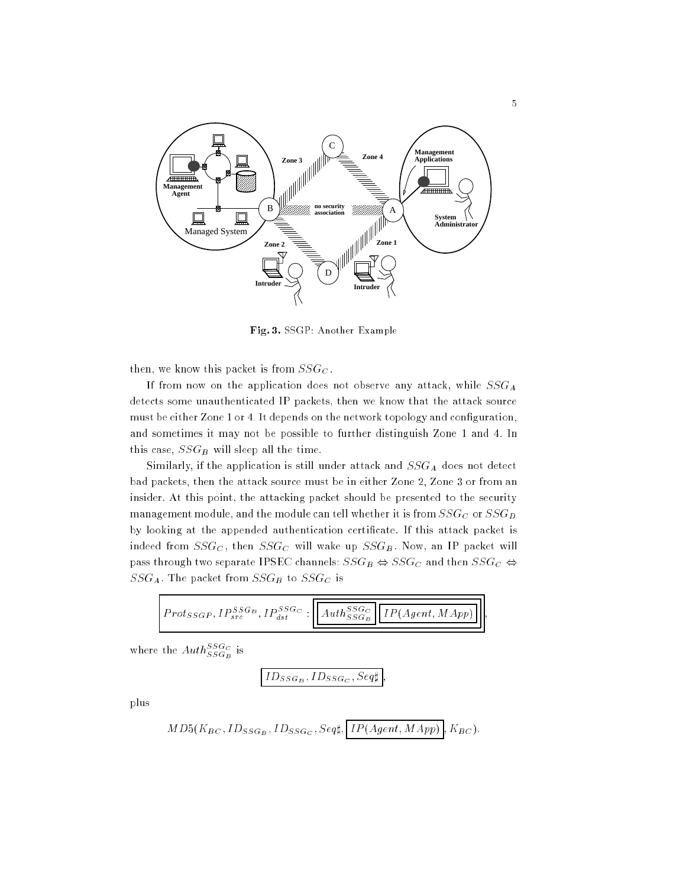

Fig. 3. SSGP: Another Example

then, we know this packet is from  $SSG_C$ .

If from now on the application does not observe any attack, while  $SSG_A$ detects some unauthenticated IP packets, then we know that the attack source must be either Zone 1 or 4. It depends on the network topology and configuration, and sometimes it may not be possible to further distinguish Zone 1 and 4. In this case,  $SSG_B$  will sleep all the time.

Similarly, if the application is still under attack and  $SSG_A$  does not detect bad packets, then the attack source must be in either Zone 2, Zone 3 or from an insider. At this point, the attacking packet should be presented to the security management module, and the module can tell whether it is from  $SSG_C$  or  $SSG_D$ by looking at the appended authentication certificate. If this attack packet is indeed from  $SSG_C$ , then  $SSG_C$  will wake up  $SSG_B$ . Now, an IP packet will pass through two separate IPSEC channels:  $SSG_B \Leftrightarrow SSG_C$  and then  $SSG_C \Leftrightarrow$  $SSG_A$ . The packet from  $SSG_B$  to  $SSG_C$  is



where the  $\mathit{Auth}_{SSG_B}^{SSGC}$  is

$$
\overline{ID_{SSG_B},ID_{SSG_C},Seq\sharp},
$$

plus

$$
MD5(K_{BC}, ID_{SSG_B}, ID_{SSG_C}, Seq\sharp, \boxed{IP(Agent, M App)}, K_{BC}).
$$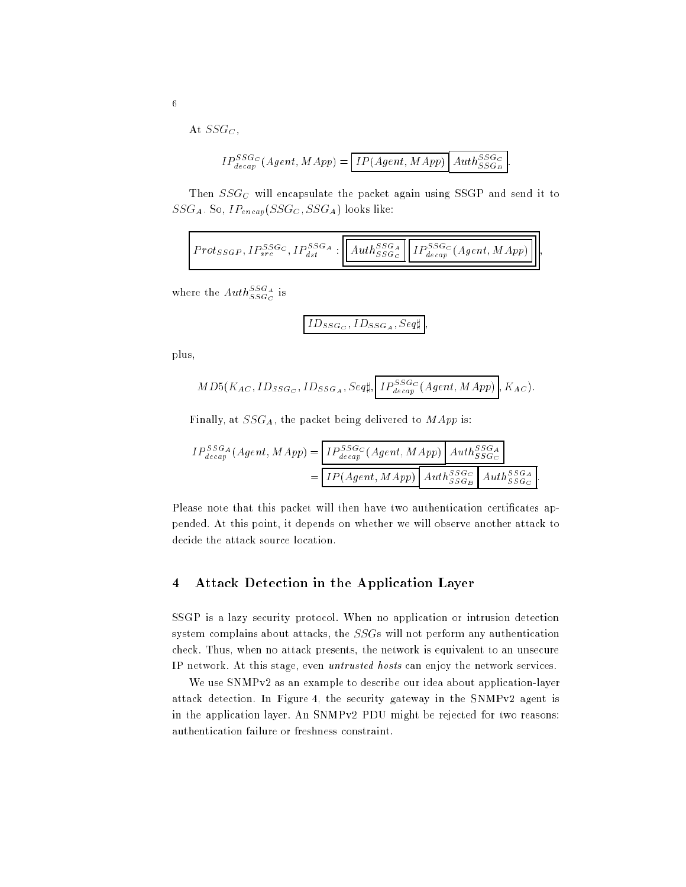At  $SSG_C$ ,

$$
IP^{SSG_C}_{decap}(Agent, Mapp) = \boxed{IP(Agent, Map)\left[ \textit{Authors}^{SSG_C}_{SSG_B}\right.}
$$

|

Then  $SSG_C$  will encapsulate the packet again using SSGP and send it to  $SSG_A$ . So,  $IP_{\text{encap}}(SSG_C, SSG_A)$  looks like:

$$
Prots_{SGP}, IP_{src}^{SSG_C}, IP_{dst}^{SSG_A}: \boxed{Auth_{SSG_C}^{SSG_A} | \boxed{IP_{decay}^{SSG_C}(Agent, Map)}},
$$

where the  $\text{Aut}h_{SSG_C}^{SSG_A}$  is

$$
ID_{SSG_C}, ID_{SSG_A}, Seq^{\sharp},
$$

plus,

$$
MD5(K_{AC}, IDs_{SSG_C}, IDs_{SSG_A}, Seq\sharp, \boxed{IP^{SSG_C}_{decay}(Agent, Map), K_{AC})}.
$$

Finally, at  $SSG_A$ , the packet being delivered to  $MApp$  is:

$$
\begin{aligned} IP^{SSG_A}_{decay}(Agent, Mapp) &= \boxed{IP^{SSG_C}_{decay}(Agent, Mapp) \left[ \begin{array}{c} \boldsymbol{Auth^{SSG_A}_{SSG_C}}\\ \boldsymbol{I} \end{array} \right]} \\ &= \boxed{IP(Agent, Mapp) \left[ \begin{array}{c} \boldsymbol{Auth^{SSG_C}_{SSG_B}} \end{array} \right] \boldsymbol{Auth^{SSG_A}_{SSG_C}}. \end{aligned}
$$

Please note that this packet will then have two authentication certificates appended. At this point, it depends on whether we will observe another attack to decide the attack source location.

### 4 Attack Detection in the Application Layer

SSGP is a lazy security protocol. When no application or intrusion detection system complains about attacks, the SSGs will not perform any authentication check. Thus, when no attack presents, the network is equivalent to an unsecure IP network. At this stage, even untrusted hosts can enjoy the network services.

We use SNMPv2 as an example to describe our idea about application-layer attack detection. In Figure 4, the security gateway in the SNMPv2 agent is in the application layer. An SNMPv2 PDU might be rejected for two reasons: authentication failure or freshness constraint.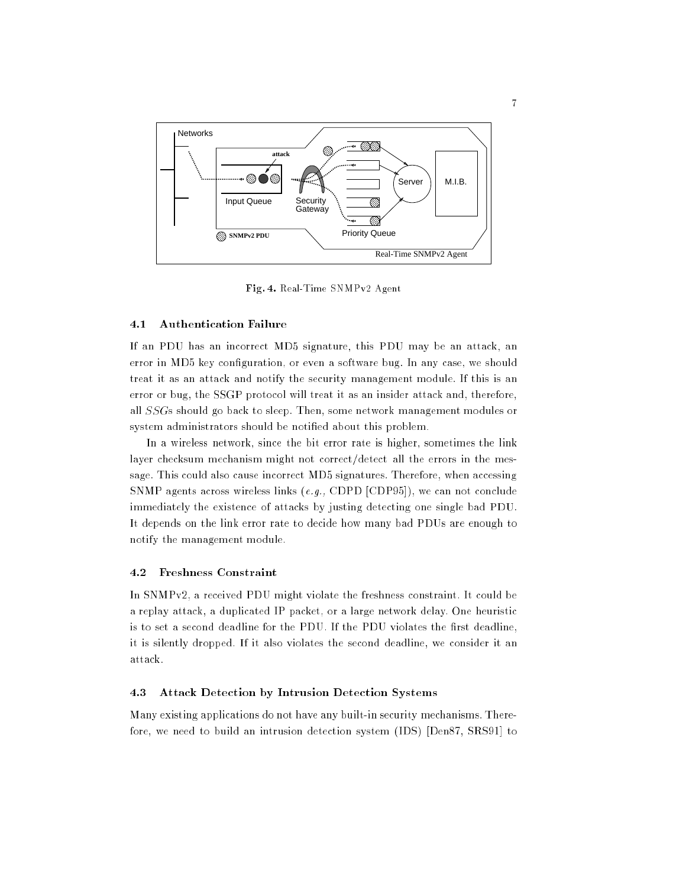

Fig. 4. Real-Time SNMPv2 Agent

#### 4.1 Authentication Failure

If an PDU has an incorrect MD5 signature, this PDU may be an attack, an error in MD5 key configuration, or even a software bug. In any case, we should treat it as an attack and notify the security management module. If this is an error or bug, the SSGP protocol will treat it as an insider attack and, therefore, all *SSGs* should go back to sleep. Then, some network management modules or system administrators should be notified about this problem.

In a wireless network, since the bit error rate is higher, sometimes the link layer checksum mechanism might not correct/detect all the errors in the message. This could also cause incorrect MD5 signatures. Therefore, when accessing SNMP agents across wireless links (e.g., CDPD [CDP95]), we can not conclude immediately the existence of attacks by justing detecting one single bad PDU. It depends on the link error rate to decide how many bad PDUs are enough to notify the management module.

### 4.2 Freshness Constraint

In SNMPv2, a received PDU might violate the freshness constraint. It could be a replay attack, a duplicated IP packet, or a large network delay. One heuristic is to set a second deadline for the PDU. If the PDU violates the first deadline, it is silently dropped. If it also violates the second deadline, we consider it an attack.

#### 4.3 Attack Detection by Intrusion Detection Systems

Many existing applications do not have any built-in security mechanisms. Therefore, we need to build an intrusion detection system (IDS) [Den87, SRS91] to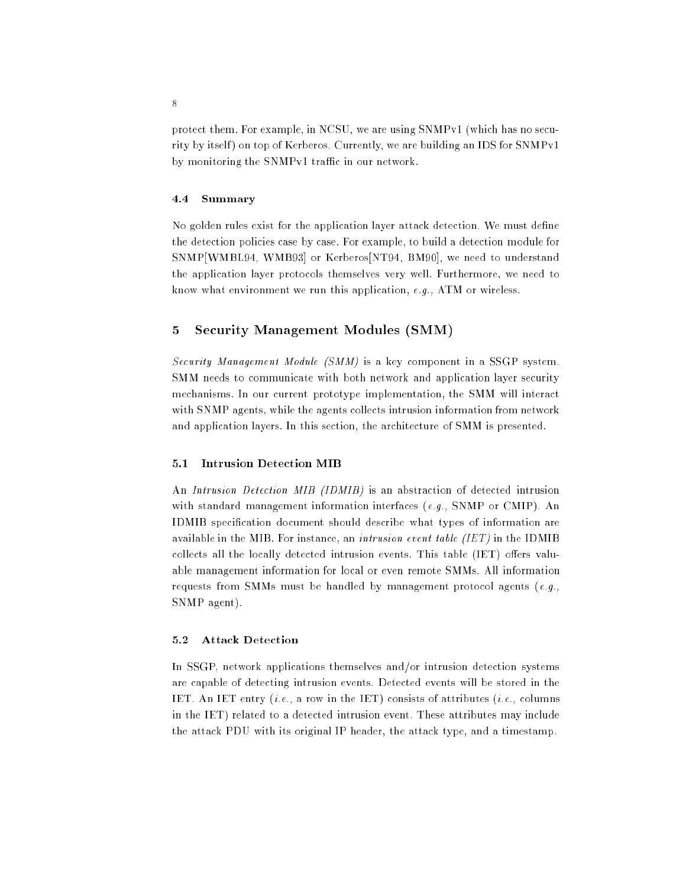protect them. For example, in NCSU, we are using SNMPv1 (which has no security by itself ) on top of Kerberos. Currently, we are building an IDS for SNMPv1 by monitoring the SNMPv1 traffic in our network.

#### 4.4 Summary

No golden rules exist for the application layer attack detection. We must define the detection policies case by case. For example, to build a detection module for SNMP[WMBL94, WMB93] or Kerberos[NT94, BM90], we need to understand the application layer protocols themselves very well. Furthermore, we need to know what environment we run this application, e.g., ATM or wireless.

# 5 Security Management Modules (SMM)

Security Management Module (SMM) is a key component in a SSGP system. SMM needs to communicate with both network and application layer security mechanisms. In our current prototype implementation, the SMM will interact with SNMP agents, while the agents collects intrusion information from network and application layers. In this section, the architecture of SMM is presented.

#### 5.1 Intrusion Detection MIB

An Intrusion Detection MIB (IDMIB) is an abstraction of detected intrusion with standard management information interfaces (e.g., SNMP or CMIP). An IDMIB specification document should describe what types of information are available in the MIB. For instance, an intrusion event table (IET) in the IDMIB collects all the locally detected intrusion events. This table (IET) offers valuable management information for local or even remote SMMs. All information requests from SMMs must be handled by management protocol agents  $(e.g.,$ SNMP agent).

### 5.2 Attack Detection

In SSGP, network applications themselves and/or intrusion detection systems are capable of detecting intrusion events. Detected events will be stored in the IET. An IET entry  $(i.e., a$  row in the IET) consists of attributes  $(i.e.,$  columns in the IET) related to a detected intrusion event. These attributes may include the attack PDU with its original IP header, the attack type, and a timestamp.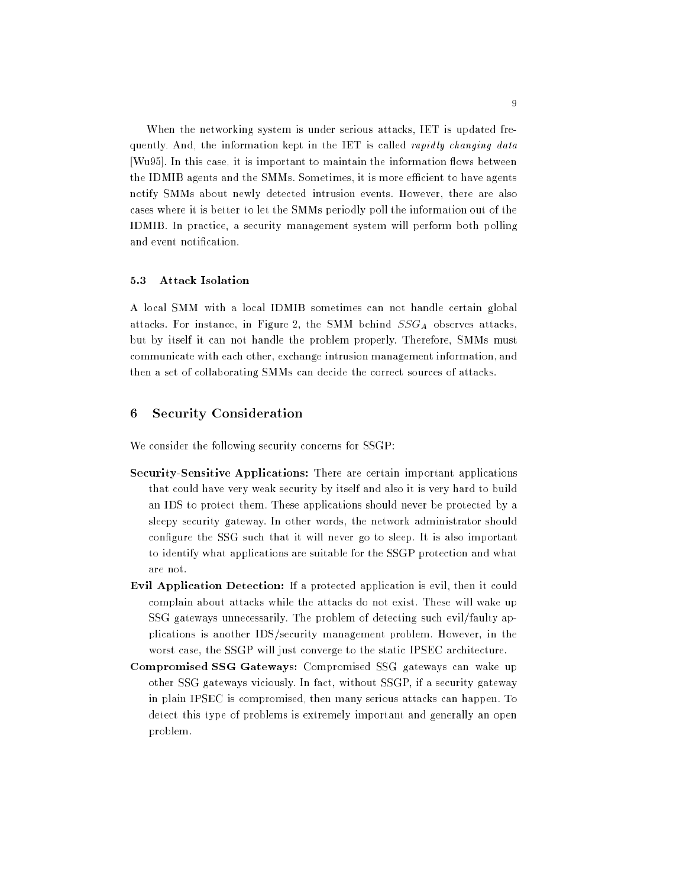When the networking system is under serious attacks, IET is updated frequently. And, the information kept in the IET is called *rapidly changing data* [Wu95]. In this case, it is important to maintain the information flows between the IDMIB agents and the SMMs. Sometimes, it is more efficient to have agents notify SMMs about newly detected intrusion events. However, there are also cases where it is better to let the SMMs periodly poll the information out of the IDMIB. In practice, a security management system will perform both polling and event notification.

#### 5.3 Attack Isolation

A local SMM with a local IDMIB sometimes can not handle certain global attacks. For instance, in Figure 2, the SMM behind  $SSG_A$  observes attacks, but by itself it can not handle the problem properly. Therefore, SMMs must communicate with each other, exchange intrusion management information, and then a set of collaborating SMMs can decide the correct sources of attacks.

# 6 Security Consideration

We consider the following security concerns for SSGP:

- Security-Sensitive Applications: There are certain important applications that could have very weak security by itself and also it is very hard to build an IDS to protect them. These applications should never be protected by a sleepy security gateway. In other words, the network administrator should configure the SSG such that it will never go to sleep. It is also important to identify what applications are suitable for the SSGP protection and what are not.
- Evil Application Detection: If a protected application is evil, then it could complain about attacks while the attacks do not exist. These will wake up SSG gateways unnecessarily. The problem of detecting such evil/faulty applications is another IDS/security management problem. However, in the worst case, the SSGP will just converge to the static IPSEC architecture.
- Compromised SSG Gateways: Compromised SSG gateways can wake up other SSG gateways viciously. In fact, without SSGP, if a security gateway in plain IPSEC is compromised, then many serious attacks can happen. To detect this type of problems is extremely important and generally an open problem.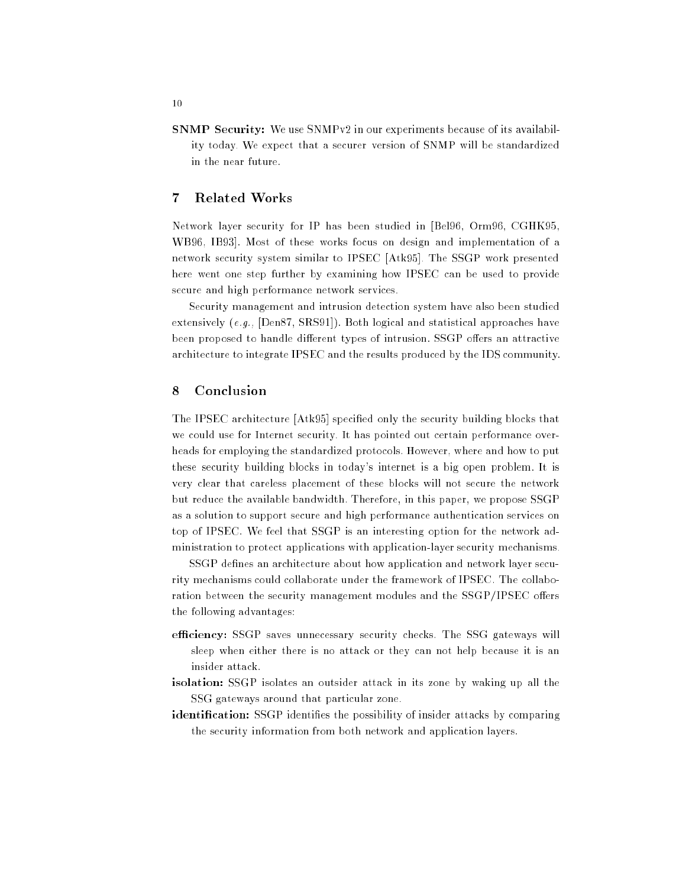SNMP Security: We use SNMPv2 in our experiments because of its availability today. We expect that a securer version of SNMP will be standardized in the near future.

# 7 Related Works

Network layer security for IP has been studied in [Bel96, Orm96, CGHK95, WB96, IB93]. Most of these works focus on design and implementation of a network security system similar to IPSEC [Atk95]. The SSGP work presented here went one step further by examining how IPSEC can be used to provide secure and high performance network services.

Security management and intrusion detection system have also been studied extensively (e.g., [Den87, SRS91]). Both logical and statistical approaches have been proposed to handle different types of intrusion. SSGP offers an attractive architecture to integrate IPSEC and the results produced by the IDS community.

#### 8 Conclusion

The IPSEC architecture [Atk95] specified only the security building blocks that we could use for Internet security. It has pointed out certain performance overheads for employing the standardized protocols. However, where and how to put these security building blocks in today's internet is a big open problem. It is very clear that careless placement of these blocks will not secure the network but reduce the available bandwidth. Therefore, in this paper, we propose SSGP as a solution to support secure and high performance authentication services on top of IPSEC. We feel that SSGP is an interesting option for the network administration to protect applications with application-layer security mechanisms.

SSGP defines an architecture about how application and network layer security mechanisms could collaborate under the framework of IPSEC. The collaboration between the security management modules and the SSGP/IPSEC offers the following advantages:

- efficiency: SSGP saves unnecessary security checks. The SSG gateways will sleep when either there is no attack or they can not help because it is an insider attack.
- isolation: SSGP isolates an outsider attack in its zone by waking up all the SSG gateways around that particular zone.
- identification: SSGP identifies the possibility of insider attacks by comparing the security information from both network and application layers.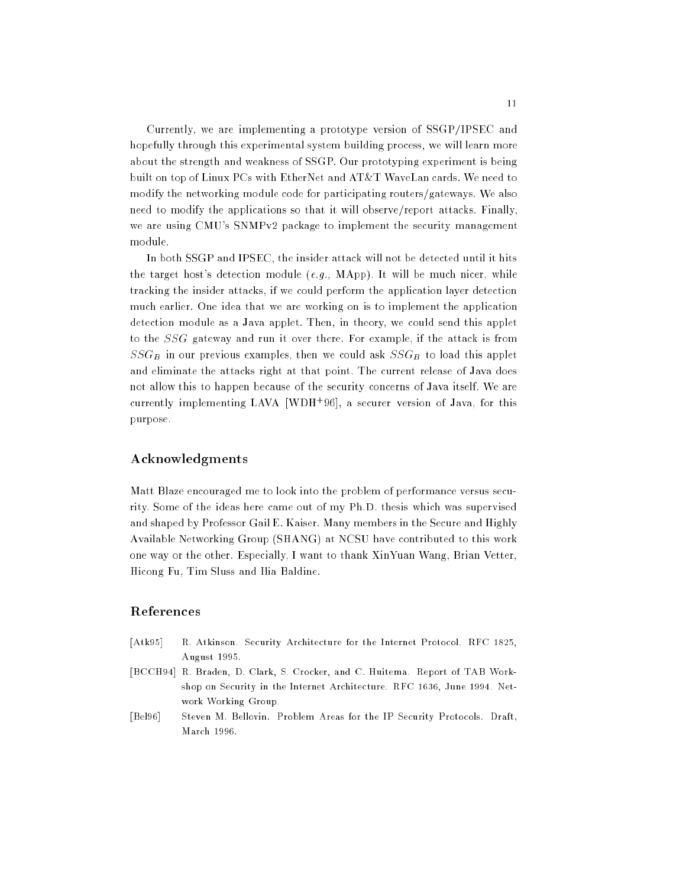Currently, we are implementing a prototype version of SSGP/IPSEC and hopefully through this experimental system building process, we will learn more about the strength and weakness of SSGP. Our prototyping experiment is being built on top of Linux PCs with EtherNet and AT&T WaveLan cards. We need to modify the networking module code for participating routers/gateways. We also need to modify the applications so that it will observe/report attacks. Finally, we are using CMU's SNMPv2 package to implement the security management module.

In both SSGP and IPSEC, the insider attack will not be detected until it hits the target host's detection module  $(e.g., \text{ MAPD})$ . It will be much nicer, while tracking the insider attacks, if we could perform the application layer detection much earlier. One idea that we are working on is to implement the application detection module as a Java applet. Then, in theory, we could send this applet to the SSG gateway and run it over there. For example, if the attack is from  $SSG_B$  in our previous examples, then we could ask  $SSG_B$  to load this applet and eliminate the attacks right at that point. The current release of Java does not allow this to happen because of the security concerns of Java itself. We are currently implementing LAVA [WDH+90], a securer version of Java, for this purpose.

# Acknowledgments

Matt Blaze encouraged me to look into the problem of performance versus security. Some of the ideas here came out of my Ph.D. thesis which was supervised and shaped by Professor Gail E. Kaiser. Many members in the Secure and Highly Available Networking Group (SHANG) at NCSU have contributed to this work one way or the other. Especially, I want to thank XinYuan Wang, Brian Vetter, Hicong Fu, Tim Sluss and Ilia Baldine.

# References

- [Atk95] R. Atkinson. Security Architecture for the Internet Protocol. RFC 1825, August 1995.
- [BCCH94] R. Braden, D. Clark, S. Crocker, and C. Huitema. Report of TAB Workshop on Security in the Internet Architecture. RFC 1636, June 1994. Network Working Group.
- [Bel96] Steven M. Bellovin. Problem Areas for the IP Security Protocols. Draft, March 1996.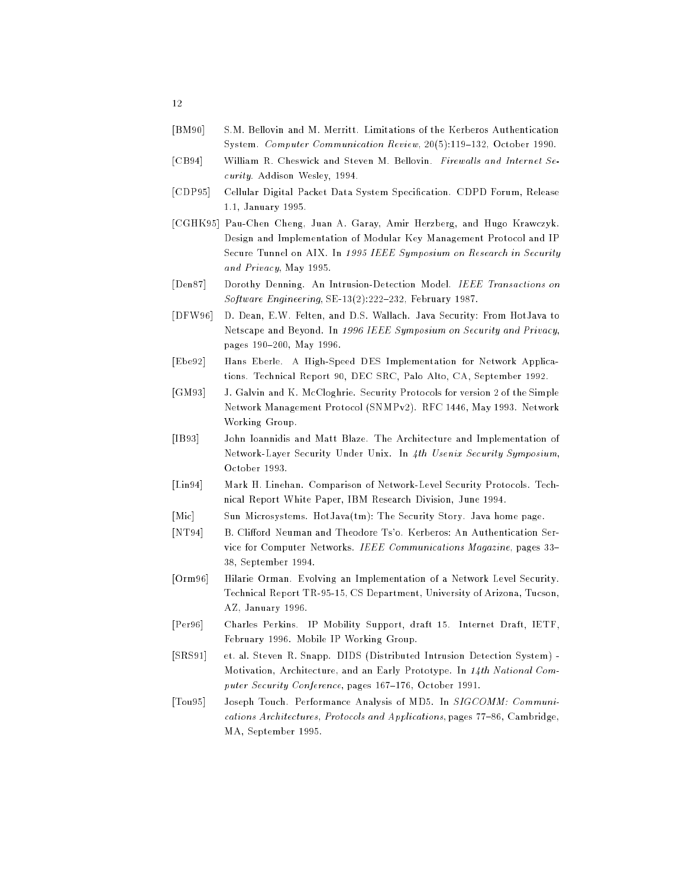- [BM90] S.M. Bellovin and M. Merritt. Limitations of the Kerberos Authentication System. Computer Communication Review, 20(5):119-132, October 1990.
- [CB94] William R. Cheswick and Steven M. Bellovin. Firewalls and Internet Security. Addison Wesley, 1994.
- [CDP95] Cellular Digital Packet Data System Specication. CDPD Forum, Release 1.1, January 1995.
- [CGHK95] Pau-Chen Cheng, Juan A. Garay, Amir Herzberg, and Hugo Krawczyk. Design and Implementation of Modular Key Management Protocol and IP Secure Tunnel on AIX. In 1995 IEEE Symposium on Research in Security and Privacy, May 1995.
- [Den87] Dorothy Denning. An Intrusion-Detection Model. IEEE Transactions on Software Engineering,  $SE-13(2):222-232$ , February 1987.
- [DFW96] D. Dean, E.W. Felten, and D.S. Wallach. Java Security: From HotJava to Netscape and Beyond. In 1996 IEEE Symposium on Security and Privacy, pages 190-200, May 1996.
- [Ebe92] Hans Eberle. A High-Speed DES Implementation for Network Applications. Technical Report 90, DEC SRC, Palo Alto, CA, September 1992.
- [GM93] J. Galvin and K. McCloghrie. Security Protocols for version 2 of the Simple Network Management Protocol (SNMPv2). RFC 1446, May 1993. Network Working Group.
- [IB93] John Ioannidis and Matt Blaze. The Architecture and Implementation of Network-Layer Security Under Unix. In 4th Usenix Security Symposium, October 1993.
- [Lin94] Mark H. Linehan. Comparison of Network-Level Security Protocols. Technical Report White Paper, IBM Research Division, June 1994.
- [Mic] Sun Microsystems. HotJava(tm): The Security Story. Java home page.
- [NT94] B. Clifford Neuman and Theodore Ts'o. Kerberos: An Authentication Service for Computer Networks. IEEE Communications Magazine, pages 33-38, September 1994.
- [Orm96] Hilarie Orman. Evolving an Implementation of a Network Level Security. Technical Report TR-95-15, CS Department, University of Arizona, Tucson, AZ, January 1996.
- [Per96] Charles Perkins. IP Mobility Support, draft 15. Internet Draft, IETF, February 1996. Mobile IP Working Group.
- [SRS91] et. al. Steven R. Snapp. DIDS (Distributed Intrusion Detection System) Motivation, Architecture, and an Early Prototype. In 14th National Computer Security Conference, pages 167-176, October 1991.
- [Tou95] Joseph Touch. Performance Analysis of MD5. In SIGCOMM: Communications Architectures, Protocols and Applications, pages  $77-86$ , Cambridge, MA, September 1995.